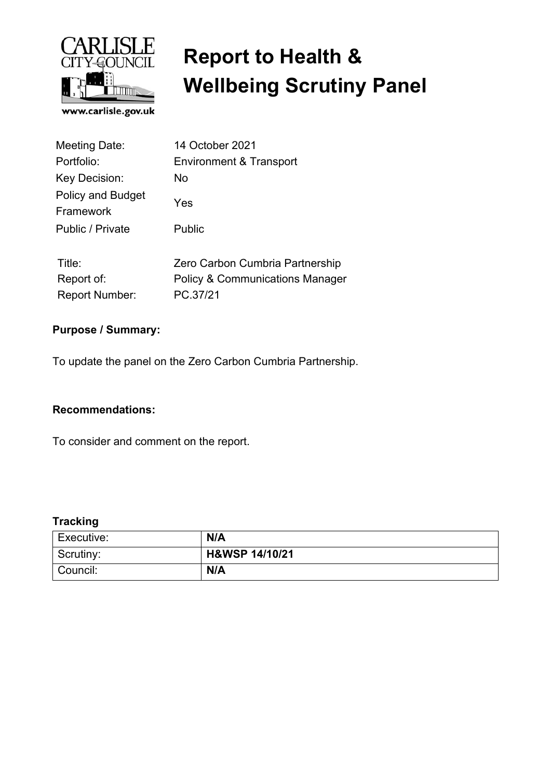

# **Report to Health & Wellbeing Scrutiny Panel**

| <b>Meeting Date:</b>           | 14 October 2021                            |  |
|--------------------------------|--------------------------------------------|--|
| Portfolio:                     | Environment & Transport                    |  |
| Key Decision:                  | No                                         |  |
| Policy and Budget<br>Framework | Yes                                        |  |
| Public / Private               | Public                                     |  |
| Title:                         | Zero Carbon Cumbria Partnership            |  |
| Report of:                     | <b>Policy &amp; Communications Manager</b> |  |
| <b>Report Number:</b>          | PC.37/21                                   |  |

#### **Purpose / Summary:**

To update the panel on the Zero Carbon Cumbria Partnership.

#### **Recommendations:**

To consider and comment on the report.

#### **Tracking**

| Executive: | N/A            |
|------------|----------------|
| Scrutiny:  | H&WSP 14/10/21 |
| Council:   | N/A            |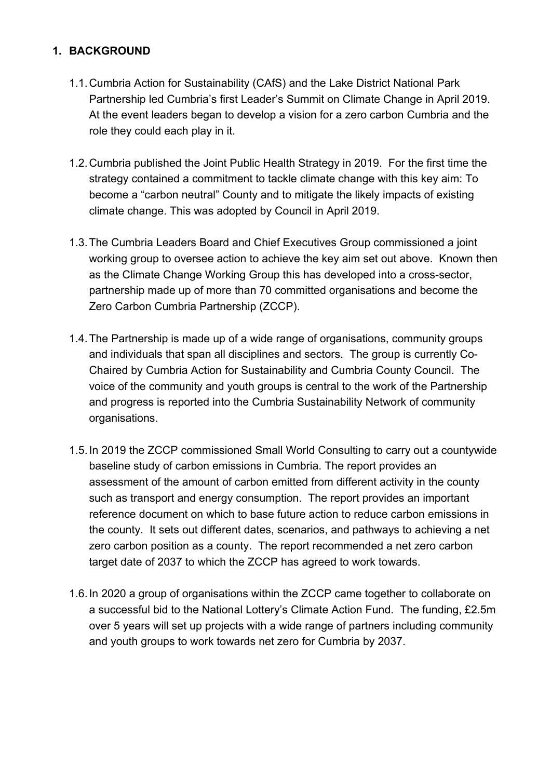#### **1. BACKGROUND**

- 1.1. Cumbria Action for Sustainability (CAfS) and the Lake District National Park Partnership led Cumbria's first Leader's Summit on Climate Change in April 2019. At the event leaders began to develop a vision for a zero carbon Cumbria and the role they could each play in it.
- 1.2. Cumbria published the Joint Public Health Strategy in 2019. For the first time the strategy contained a commitment to tackle climate change with this key aim: To become a "carbon neutral" County and to mitigate the likely impacts of existing climate change. This was adopted by Council in April 2019.
- 1.3. The Cumbria Leaders Board and Chief Executives Group commissioned a joint working group to oversee action to achieve the key aim set out above. Known then as the Climate Change Working Group this has developed into a cross-sector, partnership made up of more than 70 committed organisations and become the Zero Carbon Cumbria Partnership (ZCCP).
- 1.4. The Partnership is made up of a wide range of organisations, community groups and individuals that span all disciplines and sectors. The group is currently Co-Chaired by Cumbria Action for Sustainability and Cumbria County Council. The voice of the community and youth groups is central to the work of the Partnership and progress is reported into the Cumbria Sustainability Network of community organisations.
- 1.5. In 2019 the ZCCP commissioned Small World Consulting to carry out a countywide baseline study of carbon emissions in Cumbria. The report provides an assessment of the amount of carbon emitted from different activity in the county such as transport and energy consumption. The report provides an important reference document on which to base future action to reduce carbon emissions in the county. It sets out different dates, scenarios, and pathways to achieving a net zero carbon position as a county. The report recommended a net zero carbon target date of 2037 to which the ZCCP has agreed to work towards.
- 1.6. In 2020 a group of organisations within the ZCCP came together to collaborate on a successful bid to the National Lottery's Climate Action Fund. The funding, £2.5m over 5 years will set up projects with a wide range of partners including community and youth groups to work towards net zero for Cumbria by 2037.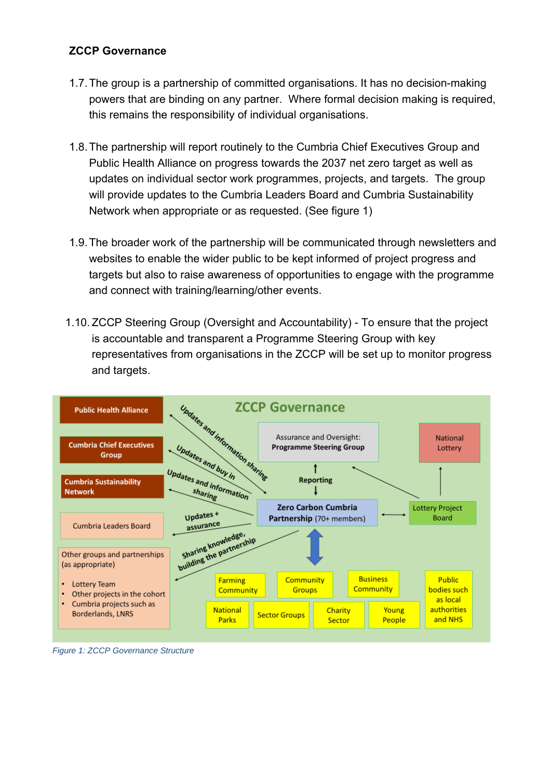#### **ZCCP Governance**

- 1.7. The group is a partnership of committed organisations. It has no decision-making powers that are binding on any partner. Where formal decision making is required, this remains the responsibility of individual organisations.
- 1.8. The partnership will report routinely to the Cumbria Chief Executives Group and Public Health Alliance on progress towards the 2037 net zero target as well as updates on individual sector work programmes, projects, and targets. The group will provide updates to the Cumbria Leaders Board and Cumbria Sustainability Network when appropriate or as requested. (See figure 1)
- 1.9. The broader work of the partnership will be communicated through newsletters and websites to enable the wider public to be kept informed of project progress and targets but also to raise awareness of opportunities to engage with the programme and connect with training/learning/other events.
- 1.10. ZCCP Steering Group (Oversight and Accountability) To ensure that the project is accountable and transparent a Programme Steering Group with key representatives from organisations in the ZCCP will be set up to monitor progress and targets.



*Figure 1: ZCCP Governance Structure*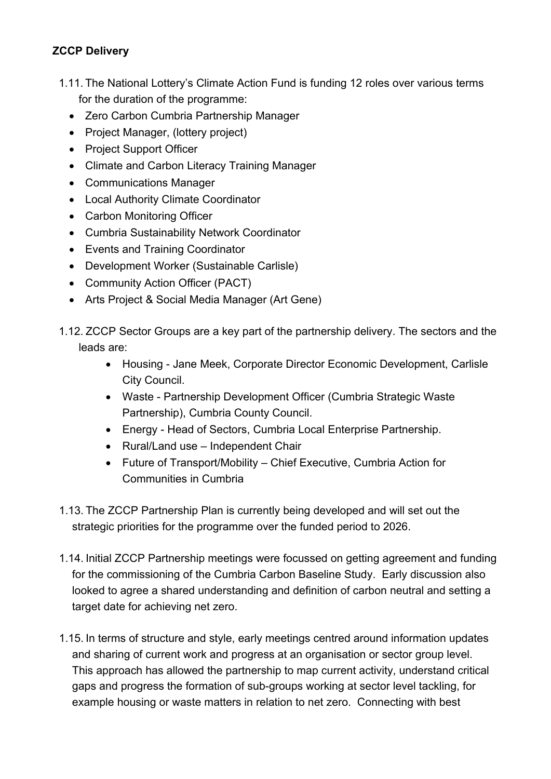#### **ZCCP Delivery**

- 1.11. The National Lottery's Climate Action Fund is funding 12 roles over various terms for the duration of the programme:
	- Zero Carbon Cumbria Partnership Manager
	- Project Manager, (lottery project)
	- Project Support Officer
	- Climate and Carbon Literacy Training Manager
	- Communications Manager
	- Local Authority Climate Coordinator
	- Carbon Monitoring Officer
	- Cumbria Sustainability Network Coordinator
	- Events and Training Coordinator
	- Development Worker (Sustainable Carlisle)
	- Community Action Officer (PACT)
	- Arts Project & Social Media Manager (Art Gene)
- 1.12. ZCCP Sector Groups are a key part of the partnership delivery. The sectors and the leads are:
	- Housing Jane Meek, Corporate Director Economic Development, Carlisle City Council.
	- Waste Partnership Development Officer (Cumbria Strategic Waste Partnership), Cumbria County Council.
	- Energy Head of Sectors, Cumbria Local Enterprise Partnership.
	- Rural/Land use Independent Chair
	- Future of Transport/Mobility Chief Executive, Cumbria Action for Communities in Cumbria
- 1.13. The ZCCP Partnership Plan is currently being developed and will set out the strategic priorities for the programme over the funded period to 2026.
- 1.14. Initial ZCCP Partnership meetings were focussed on getting agreement and funding for the commissioning of the Cumbria Carbon Baseline Study. Early discussion also looked to agree a shared understanding and definition of carbon neutral and setting a target date for achieving net zero.
- 1.15. In terms of structure and style, early meetings centred around information updates and sharing of current work and progress at an organisation or sector group level. This approach has allowed the partnership to map current activity, understand critical gaps and progress the formation of sub-groups working at sector level tackling, for example housing or waste matters in relation to net zero. Connecting with best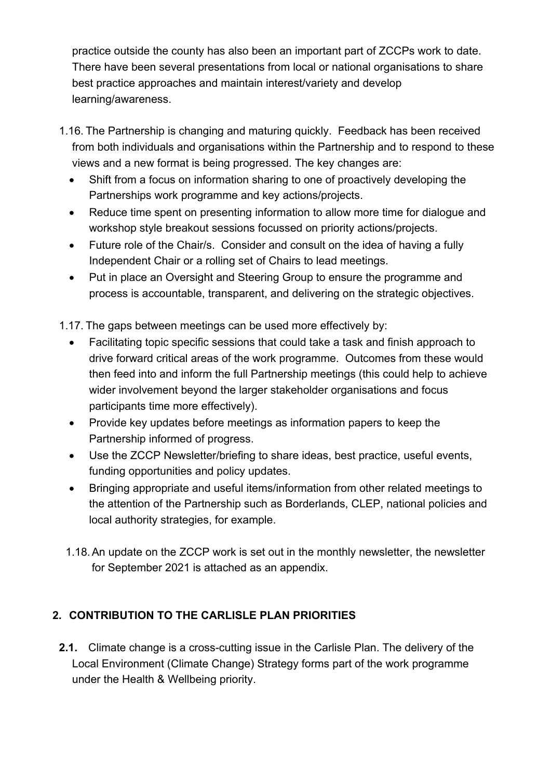practice outside the county has also been an important part of ZCCPs work to date. There have been several presentations from local or national organisations to share best practice approaches and maintain interest/variety and develop learning/awareness.

- 1.16. The Partnership is changing and maturing quickly. Feedback has been received from both individuals and organisations within the Partnership and to respond to these views and a new format is being progressed. The key changes are:
	- Shift from a focus on information sharing to one of proactively developing the Partnerships work programme and key actions/projects.
	- Reduce time spent on presenting information to allow more time for dialogue and workshop style breakout sessions focussed on priority actions/projects.
	- Future role of the Chair/s. Consider and consult on the idea of having a fully Independent Chair or a rolling set of Chairs to lead meetings.
	- Put in place an Oversight and Steering Group to ensure the programme and process is accountable, transparent, and delivering on the strategic objectives.

1.17. The gaps between meetings can be used more effectively by:

- Facilitating topic specific sessions that could take a task and finish approach to drive forward critical areas of the work programme. Outcomes from these would then feed into and inform the full Partnership meetings (this could help to achieve wider involvement beyond the larger stakeholder organisations and focus participants time more effectively).
- Provide key updates before meetings as information papers to keep the Partnership informed of progress.
- Use the ZCCP Newsletter/briefing to share ideas, best practice, useful events, funding opportunities and policy updates.
- Bringing appropriate and useful items/information from other related meetings to the attention of the Partnership such as Borderlands, CLEP, national policies and local authority strategies, for example.
- 1.18. An update on the ZCCP work is set out in the monthly newsletter, the newsletter for September 2021 is attached as an appendix.

#### **2. CONTRIBUTION TO THE CARLISLE PLAN PRIORITIES**

**2.1.** Climate change is a cross-cutting issue in the Carlisle Plan. The delivery of the Local Environment (Climate Change) Strategy forms part of the work programme under the Health & Wellbeing priority.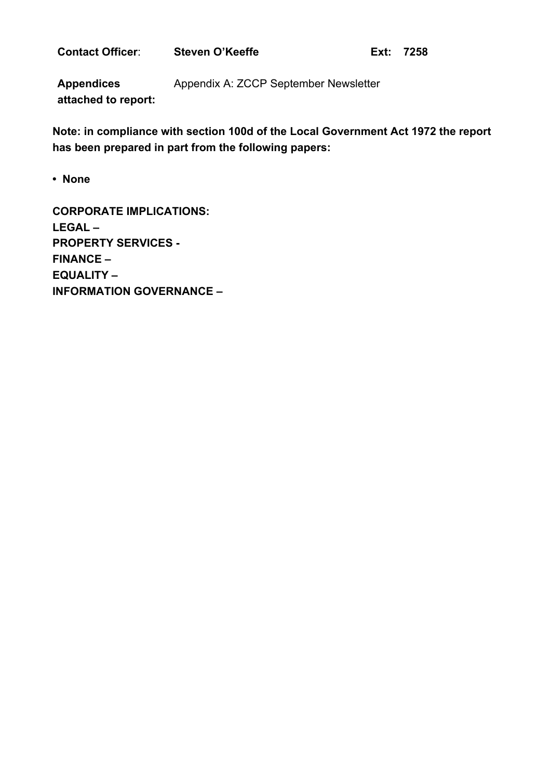**Contact Officer:** Steven O'Keeffe **Ext: 7258** 

**Appendices attached to report:**  Appendix A: ZCCP September Newsletter

**Note: in compliance with section 100d of the Local Government Act 1972 the report has been prepared in part from the following papers:** 

**• None** 

**CORPORATE IMPLICATIONS: LEGAL – PROPERTY SERVICES - FINANCE – EQUALITY – INFORMATION GOVERNANCE –**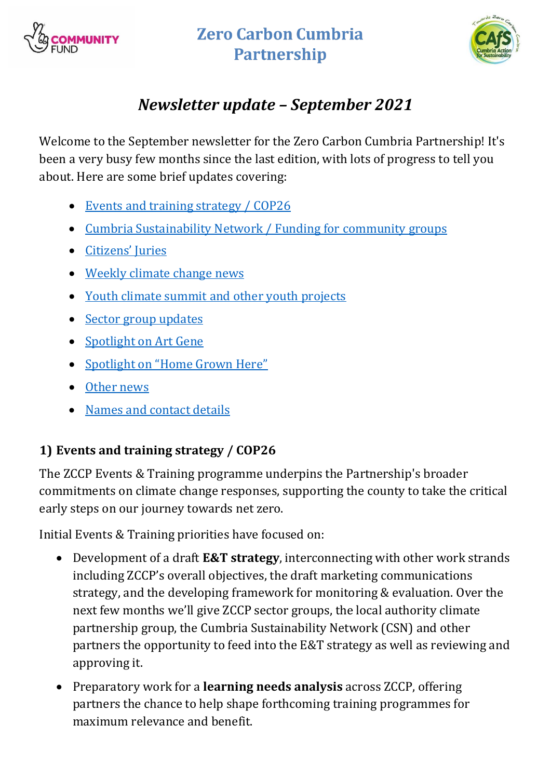

# **Zero Carbon Cumbria Partnership**



# *Newsletter update – September 2021*

Welcome to the September newsletter for the Zero Carbon Cumbria Partnership! It's been a very busy few months since the last edition, with lots of progress to tell you about. Here are some brief updates covering:

- [Events and training strategy / COP26](#page-6-0)
- Cumbria [Sustainability Network / Funding for community](#page-7-0) groups
- [Citizens' Juries](#page-8-0)
- [Weekly climate change news](#page-8-1)
- Youth [climate summit and other youth projects](#page-9-0)
- [Sector group updates](#page-10-0)
- [Spotlight on Art Gene](#page-11-0)
- [Spotlight on "Home Grown Here"](#page-11-1)
- [Other news](#page-12-0)
- [Names and contact details](#page-12-1)

# <span id="page-6-0"></span>**1) Events and training strategy / COP26**

The ZCCP Events & Training programme underpins the Partnership's broader commitments on climate change responses, supporting the county to take the critical early steps on our journey towards net zero.

Initial Events & Training priorities have focused on:

- Development of a draft **E&T strategy**, interconnecting with other work strands including ZCCP's overall objectives, the draft marketing communications strategy, and the developing framework for monitoring & evaluation. Over the next few months we'll give ZCCP sector groups, the local authority climate partnership group, the Cumbria Sustainability Network (CSN) and other partners the opportunity to feed into the E&T strategy as well as reviewing and approving it.
- Preparatory work for a **learning needs analysis** across ZCCP, offering partners the chance to help shape forthcoming training programmes for maximum relevance and benefit.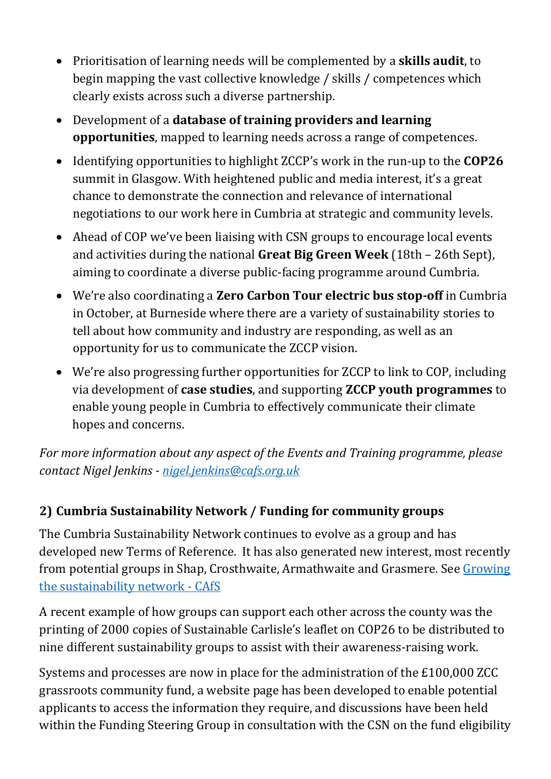- Prioritisation of learning needs will be complemented by a **skills audit**, to begin mapping the vast collective knowledge / skills / competences which clearly exists across such a diverse partnership.
- Development of a **database of training providers and learning opportunities**, mapped to learning needs across a range of competences.
- Identifying opportunities to highlight ZCCP's work in the run-up to the **COP26** summit in Glasgow. With heightened public and media interest, it's a great chance to demonstrate the connection and relevance of international negotiations to our work here in Cumbria at strategic and community levels.
- Ahead of COP we've been liaising with CSN groups to encourage local events and activities during the national **Great Big Green Week** (18th – 26th Sept), aiming to coordinate a diverse public-facing programme around Cumbria.
- We're also coordinating a **Zero Carbon Tour electric bus stop-off** in Cumbria in October, at Burneside where there are a variety of sustainability stories to tell about how community and industry are responding, as well as an opportunity for us to communicate the ZCCP vision.
- We're also progressing further opportunities for ZCCP to link to COP, including via development of **case studies**, and supporting **ZCCP youth programmes** to enable young people in Cumbria to effectively communicate their climate hopes and concerns.

*For more information about any aspect of the Events and Training programme, please contact Nigel Jenkins - [nigel.jenkins@cafs.org.uk](mailto:nigel.jenkins@cafs.org.uk)* 

### <span id="page-7-0"></span>**2) Cumbria Sustainability Network / Funding for community groups**

The Cumbria Sustainability Network continues to evolve as a group and has developed new Terms of Reference. It has also generated new interest, most recently from potential groups in Shap, Crosthwaite, Armathwaite and Grasmere. See Growing [the sustainability network -](https://cafs.org.uk/2021/06/29/growing-the-sustainability-network/) CAfS

A recent example of how groups can support each other across the county was the printing of 2000 copies of Sustainable Carlisle's leaflet on COP26 to be distributed to nine different sustainability groups to assist with their awareness-raising work.

Systems and processes are now in place for the administration of the £100,000 ZCC grassroots community fund, a website page has been developed to enable potential applicants to access the information they require, and discussions have been held within the Funding Steering Group in consultation with the CSN on the fund eligibility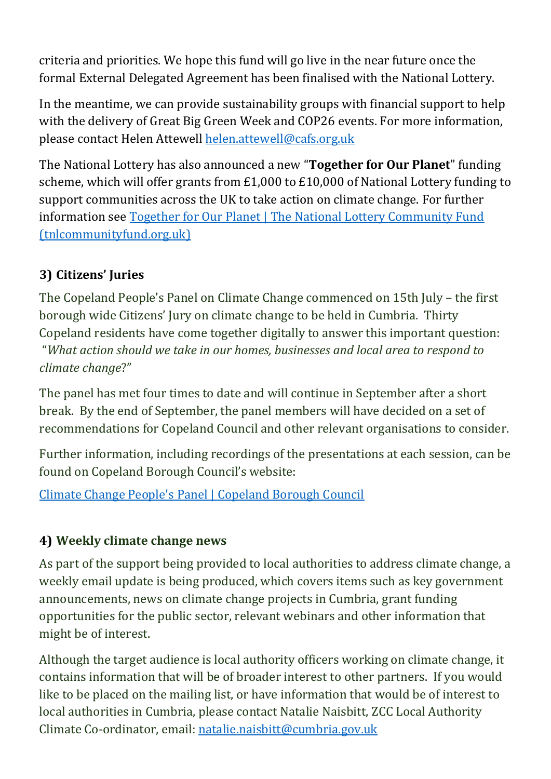criteria and priorities. We hope this fund will go live in the near future once the formal External Delegated Agreement has been finalised with the National Lottery.

In the meantime, we can provide sustainability groups with financial support to help with the delivery of Great Big Green Week and COP26 events. For more information, please contact Helen Attewell [helen.attewell@cafs.org.uk](mailto:helen.attewell@cafs.org.uk)

The National Lottery has also announced a new "**Together for Our Planet**" funding scheme, which will offer grants from £1,000 to £10,000 of National Lottery funding to support communities across the UK to take action on climate change. For further information see [Together for Our Planet | The National Lottery Community Fund](https://www.tnlcommunityfund.org.uk/funding/programmes/together-for-our-planet)  [\(tnlcommunityfund.org.uk\)](https://www.tnlcommunityfund.org.uk/funding/programmes/together-for-our-planet)

### <span id="page-8-0"></span>**3) Citizens' Juries**

The Copeland People's Panel on Climate Change commenced on 15th July – the first borough wide Citizens' Jury on climate change to be held in Cumbria. Thirty Copeland residents have come together digitally to answer this important question: "*What action should we take in our homes, businesses and local area to respond to climate change*?"

The panel has met four times to date and will continue in September after a short break. By the end of September, the panel members will have decided on a set of recommendations for Copeland Council and other relevant organisations to consider.

Further information, including recordings of the presentations at each session, can be found on Copeland Borough Council's website:

[Climate Change People's Panel | Copeland Borough Council](https://www.copeland.gov.uk/copeland-peoples-panel-climate-change)

### <span id="page-8-1"></span>**4) Weekly climate change news**

As part of the support being provided to local authorities to address climate change, a weekly email update is being produced, which covers items such as key government announcements, news on climate change projects in Cumbria, grant funding opportunities for the public sector, relevant webinars and other information that might be of interest.

Although the target audience is local authority officers working on climate change, it contains information that will be of broader interest to other partners. If you would like to be placed on the mailing list, or have information that would be of interest to local authorities in Cumbria, please contact Natalie Naisbitt, ZCC Local Authority Climate Co-ordinator, email: [natalie.naisbitt@cumbria.gov.uk](mailto:natalie.naisbitt@cumbria.gov.uk)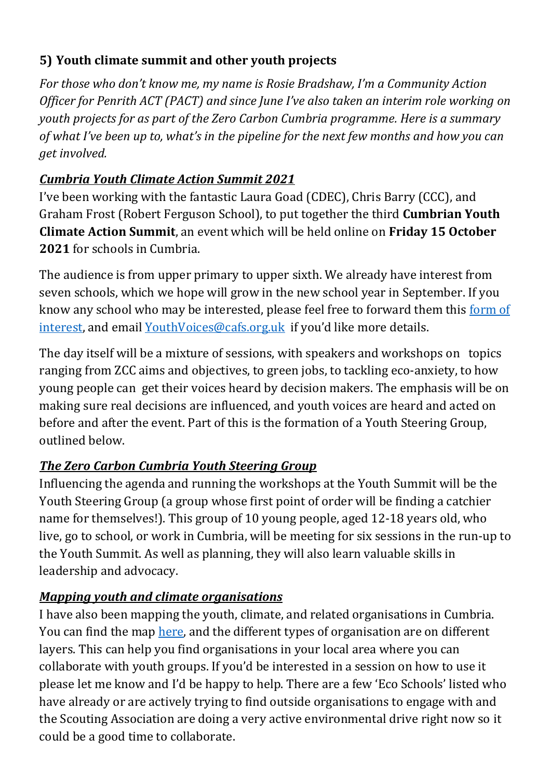### <span id="page-9-0"></span>**5) Youth climate summit and other youth projects**

*For those who don't know me, my name is Rosie Bradshaw, I'm a Community Action Officer for Penrith ACT (PACT) and since June I've also taken an interim role working on youth projects for as part of the Zero Carbon Cumbria programme. Here is a summary of what I've been up to, what's in the pipeline for the next few months and how you can get involved.*

### *Cumbria Youth Climate Action Summit 2021*

I've been working with the fantastic Laura Goad (CDEC), Chris Barry (CCC), and Graham Frost (Robert Ferguson School), to put together the third **Cumbrian Youth Climate Action Summit**, an event which will be held online on **Friday 15 October 2021** for schools in Cumbria.

The audience is from upper primary to upper sixth. We already have interest from seven schools, which we hope will grow in the new school year in September. If you know any school who may be interested, please feel free to forward them this [form of](https://docs.google.com/forms/d/e/1FAIpQLSegwwy5-z9mb9UD_3r4UyKyBYce2pNj2kyzgo7lkt1vYW5ryw/viewform?usp=sf_link)  [interest,](https://docs.google.com/forms/d/e/1FAIpQLSegwwy5-z9mb9UD_3r4UyKyBYce2pNj2kyzgo7lkt1vYW5ryw/viewform?usp=sf_link) and email [YouthVoices@cafs.org.uk](mailto:YouthVoices@cafs.org.uk) if you'd like more details.

The day itself will be a mixture of sessions, with speakers and workshops on topics ranging from ZCC aims and objectives, to green jobs, to tackling eco-anxiety, to how young people can get their voices heard by decision makers. The emphasis will be on making sure real decisions are influenced, and youth voices are heard and acted on before and after the event. Part of this is the formation of a Youth Steering Group, outlined below.

### *The Zero Carbon Cumbria Youth Steering Group*

Influencing the agenda and running the workshops at the Youth Summit will be the Youth Steering Group (a group whose first point of order will be finding a catchier name for themselves!). This group of 10 young people, aged 12-18 years old, who live, go to school, or work in Cumbria, will be meeting for six sessions in the run-up to the Youth Summit. As well as planning, they will also learn valuable skills in leadership and advocacy.

### *Mapping youth and climate organisations*

I have also been mapping the youth, climate, and related organisations in Cumbria. You can find the map [here,](https://www.google.com/maps/d/u/0/edit?mid=1x7J84-irkGZFVtXBS4PbK8dBILvUeUQO&usp=sharing) and the different types of organisation are on different layers. This can help you find organisations in your local area where you can collaborate with youth groups. If you'd be interested in a session on how to use it please let me know and I'd be happy to help. There are a few 'Eco Schools' listed who have already or are actively trying to find outside organisations to engage with and the Scouting Association are doing a very active environmental drive right now so it could be a good time to collaborate.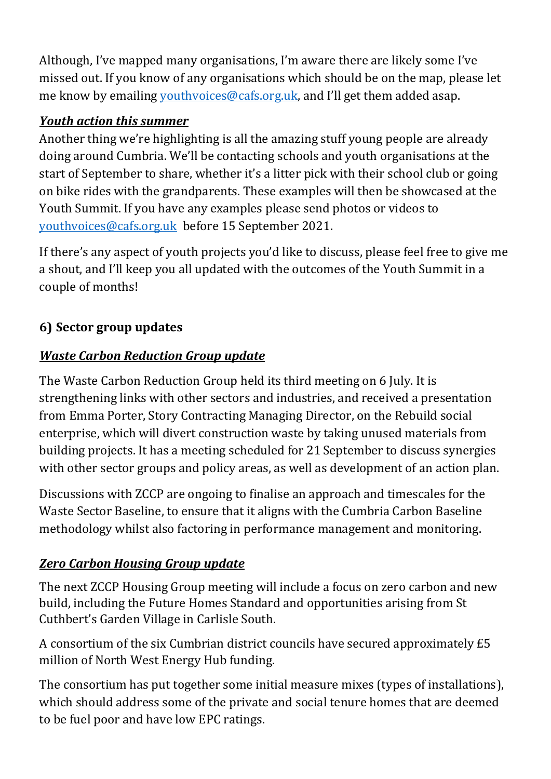Although, I've mapped many organisations, I'm aware there are likely some I've missed out. If you know of any organisations which should be on the map, please let me know by emailing *youthvoices@cafs.org.uk*, and I'll get them added asap.

#### *Youth action this summer*

Another thing we're highlighting is all the amazing stuff young people are already doing around Cumbria. We'll be contacting schools and youth organisations at the start of September to share, whether it's a litter pick with their school club or going on bike rides with the grandparents. These examples will then be showcased at the Youth Summit. If you have any examples please send photos or videos to [youthvoices@cafs.org.uk](mailto:youthvoices@cafs.org.uk) before 15 September 2021.

If there's any aspect of youth projects you'd like to discuss, please feel free to give me a shout, and I'll keep you all updated with the outcomes of the Youth Summit in a couple of months!

## <span id="page-10-0"></span>**6) Sector group updates**

### *Waste Carbon Reduction Group update*

The Waste Carbon Reduction Group held its third meeting on 6 July. It is strengthening links with other sectors and industries, and received a presentation from Emma Porter, Story Contracting Managing Director, on the Rebuild social enterprise, which will divert construction waste by taking unused materials from building projects. It has a meeting scheduled for 21 September to discuss synergies with other sector groups and policy areas, as well as development of an action plan.

Discussions with ZCCP are ongoing to finalise an approach and timescales for the Waste Sector Baseline, to ensure that it aligns with the Cumbria Carbon Baseline methodology whilst also factoring in performance management and monitoring.

### *Zero Carbon Housing Group update*

The next ZCCP Housing Group meeting will include a focus on zero carbon and new build, including the Future Homes Standard and opportunities arising from St Cuthbert's Garden Village in Carlisle South.

A consortium of the six Cumbrian district councils have secured approximately £5 million of North West Energy Hub funding.

The consortium has put together some initial measure mixes (types of installations), which should address some of the private and social tenure homes that are deemed to be fuel poor and have low EPC ratings.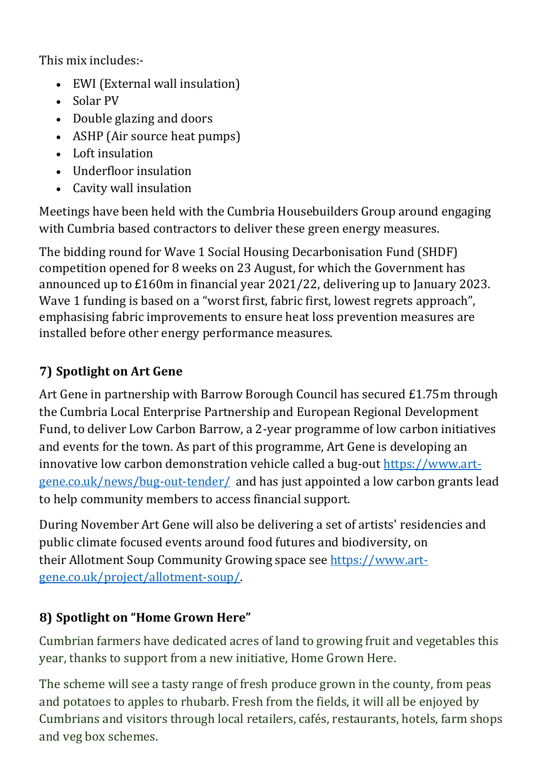This mix includes:-

- EWI (External wall insulation)
- Solar PV
- Double glazing and doors
- ASHP (Air source heat pumps)
- Loft insulation
- Underfloor insulation
- Cavity wall insulation

Meetings have been held with the Cumbria Housebuilders Group around engaging with Cumbria based contractors to deliver these green energy measures.

The bidding round for Wave 1 Social Housing Decarbonisation Fund (SHDF) competition opened for 8 weeks on 23 August, for which the Government has announced up to £160m in financial year 2021/22, delivering up to January 2023. Wave 1 funding is based on a "worst first, fabric first, lowest regrets approach", emphasising fabric improvements to ensure heat loss prevention measures are installed before other energy performance measures.

# <span id="page-11-0"></span>**7) Spotlight on Art Gene**

Art Gene in partnership with Barrow Borough Council has secured £1.75m through the Cumbria Local Enterprise Partnership and European Regional Development Fund, to deliver Low Carbon Barrow, a 2-year programme of low carbon initiatives and events for the town. As part of this programme, Art Gene is developing an innovative low carbon demonstration vehicle called a bug-out [https://www.art](https://www.art-gene.co.uk/news/bug-out-tender/)[gene.co.uk/news/bug-out-tender/](https://www.art-gene.co.uk/news/bug-out-tender/) and has just appointed a low carbon grants lead to help community members to access financial support.

During November Art Gene will also be delivering a set of artists' residencies and public climate focused events around food futures and biodiversity, on their Allotment Soup Community Growing space see [https://www.art](https://www.art-gene.co.uk/project/allotment-soup/)[gene.co.uk/project/allotment-soup/.](https://www.art-gene.co.uk/project/allotment-soup/)

# <span id="page-11-1"></span>**8) Spotlight on "Home Grown Here"**

Cumbrian farmers have dedicated acres of land to growing fruit and vegetables this year, thanks to support from a new initiative, Home Grown Here.

The scheme will see a tasty range of fresh produce grown in the county, from peas and potatoes to apples to rhubarb. Fresh from the fields, it will all be enjoyed by Cumbrians and visitors through local retailers, cafés, restaurants, hotels, farm shops and veg box schemes.